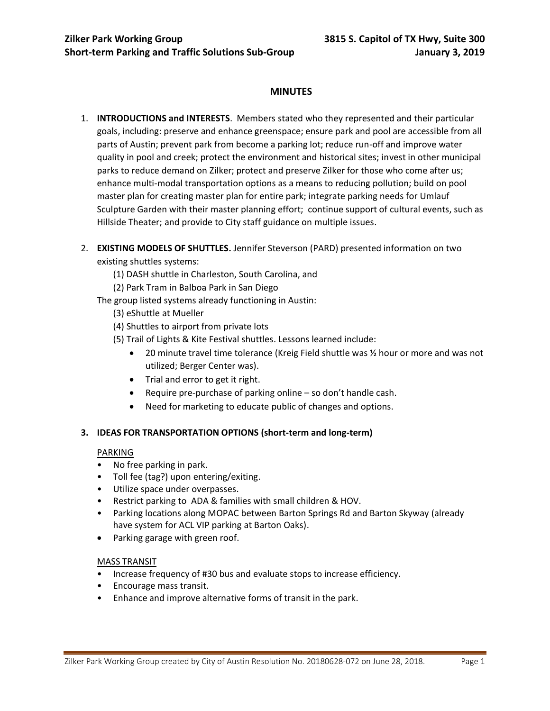# **MINUTES**

- 1. **INTRODUCTIONS and INTERESTS**. Members stated who they represented and their particular goals, including: preserve and enhance greenspace; ensure park and pool are accessible from all parts of Austin; prevent park from become a parking lot; reduce run-off and improve water quality in pool and creek; protect the environment and historical sites; invest in other municipal parks to reduce demand on Zilker; protect and preserve Zilker for those who come after us; enhance multi-modal transportation options as a means to reducing pollution; build on pool master plan for creating master plan for entire park; integrate parking needs for Umlauf Sculpture Garden with their master planning effort; continue support of cultural events, such as Hillside Theater; and provide to City staff guidance on multiple issues.
- 2. **EXISTING MODELS OF SHUTTLES.** Jennifer Steverson (PARD) presented information on two existing shuttles systems:
	- (1) DASH shuttle in Charleston, South Carolina, and
	- (2) Park Tram in Balboa Park in San Diego
	- The group listed systems already functioning in Austin:
		- (3) eShuttle at Mueller
		- (4) Shuttles to airport from private lots
		- (5) Trail of Lights & Kite Festival shuttles. Lessons learned include:
			- 20 minute travel time tolerance (Kreig Field shuttle was ½ hour or more and was not utilized; Berger Center was).
			- Trial and error to get it right.
			- Require pre-purchase of parking online  $-$  so don't handle cash.
			- Need for marketing to educate public of changes and options.

## **3. IDEAS FOR TRANSPORTATION OPTIONS (short-term and long-term)**

#### PARKING

- No free parking in park.
- Toll fee (tag?) upon entering/exiting.
- Utilize space under overpasses.
- Restrict parking to ADA & families with small children & HOV.
- Parking locations along MOPAC between Barton Springs Rd and Barton Skyway (already have system for ACL VIP parking at Barton Oaks).
- Parking garage with green roof.

## MASS TRANSIT

- Increase frequency of #30 bus and evaluate stops to increase efficiency.
- Encourage mass transit.
- Enhance and improve alternative forms of transit in the park.